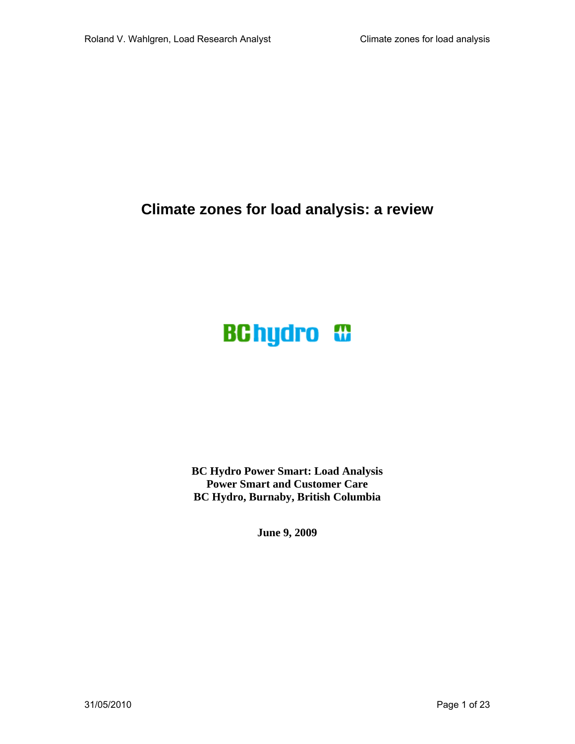**Climate zones for load analysis: a review** 

# **BChydro <sup>C</sup>**

**BC Hydro Power Smart: Load Analysis Power Smart and Customer Care BC Hydro, Burnaby, British Columbia** 

**June 9, 2009**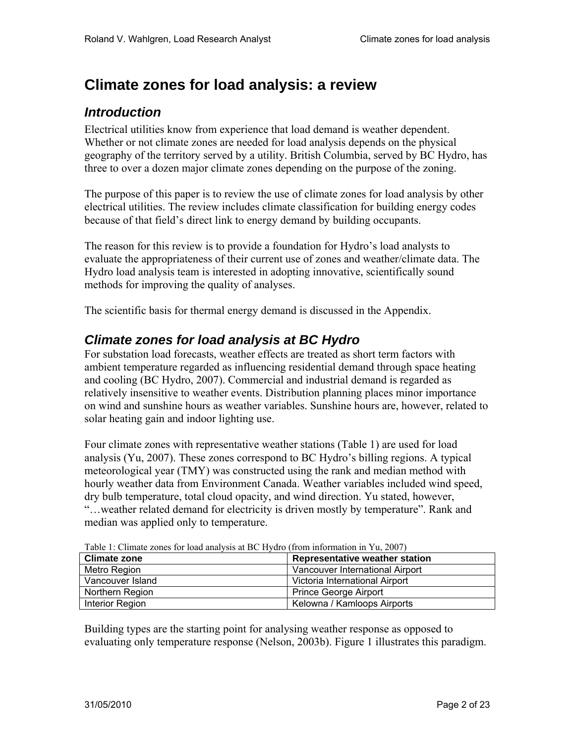# **Climate zones for load analysis: a review**

# *Introduction*

Electrical utilities know from experience that load demand is weather dependent. Whether or not climate zones are needed for load analysis depends on the physical geography of the territory served by a utility. British Columbia, served by BC Hydro, has three to over a dozen major climate zones depending on the purpose of the zoning.

The purpose of this paper is to review the use of climate zones for load analysis by other electrical utilities. The review includes climate classification for building energy codes because of that field's direct link to energy demand by building occupants.

The reason for this review is to provide a foundation for Hydro's load analysts to evaluate the appropriateness of their current use of zones and weather/climate data. The Hydro load analysis team is interested in adopting innovative, scientifically sound methods for improving the quality of analyses.

The scientific basis for thermal energy demand is discussed in the Appendix.

# *Climate zones for load analysis at BC Hydro*

For substation load forecasts, weather effects are treated as short term factors with ambient temperature regarded as influencing residential demand through space heating and cooling (BC Hydro, 2007). Commercial and industrial demand is regarded as relatively insensitive to weather events. Distribution planning places minor importance on wind and sunshine hours as weather variables. Sunshine hours are, however, related to solar heating gain and indoor lighting use.

Four climate zones with representative weather stations (Table 1) are used for load analysis (Yu, 2007). These zones correspond to BC Hydro's billing regions. A typical meteorological year (TMY) was constructed using the rank and median method with hourly weather data from Environment Canada. Weather variables included wind speed, dry bulb temperature, total cloud opacity, and wind direction. Yu stated, however, "…weather related demand for electricity is driven mostly by temperature". Rank and median was applied only to temperature.

| Table 1. Climate zones for load analysis at BC Hydro (from information in Yu, 2007) |                                       |
|-------------------------------------------------------------------------------------|---------------------------------------|
| <b>Climate zone</b>                                                                 | <b>Representative weather station</b> |
| Metro Region                                                                        | Vancouver International Airport       |
| Vancouver Island                                                                    | Victoria International Airport        |
| Northern Region                                                                     | <b>Prince George Airport</b>          |
| Interior Region                                                                     | Kelowna / Kamloops Airports           |

Table 1: Climate zones for load analysis at BC Hydro (from information in Yu, 2007)

Building types are the starting point for analysing weather response as opposed to evaluating only temperature response (Nelson, 2003b). Figure 1 illustrates this paradigm.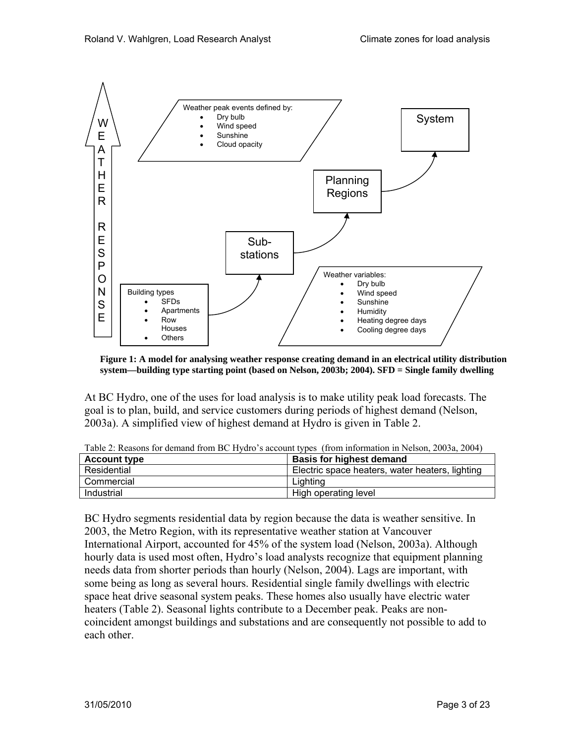

**Figure 1: A model for analysing weather response creating demand in an electrical utility distribution system—building type starting point (based on Nelson, 2003b; 2004). SFD = Single family dwelling** 

At BC Hydro, one of the uses for load analysis is to make utility peak load forecasts. The goal is to plan, build, and service customers during periods of highest demand (Nelson, 2003a). A simplified view of highest demand at Hydro is given in Table 2.

| <b>Account type</b> | <b>Basis for highest demand</b>                 |
|---------------------|-------------------------------------------------|
| Residential         | Electric space heaters, water heaters, lighting |
| Commercial          | Liahtina                                        |
| Industrial          | High operating level                            |

Table 2: Reasons for demand from BC Hydro's account types (from information in Nelson, 2003a, 2004)

BC Hydro segments residential data by region because the data is weather sensitive. In 2003, the Metro Region, with its representative weather station at Vancouver International Airport, accounted for 45% of the system load (Nelson, 2003a). Although hourly data is used most often, Hydro's load analysts recognize that equipment planning needs data from shorter periods than hourly (Nelson, 2004). Lags are important, with some being as long as several hours. Residential single family dwellings with electric space heat drive seasonal system peaks. These homes also usually have electric water heaters (Table 2). Seasonal lights contribute to a December peak. Peaks are noncoincident amongst buildings and substations and are consequently not possible to add to each other.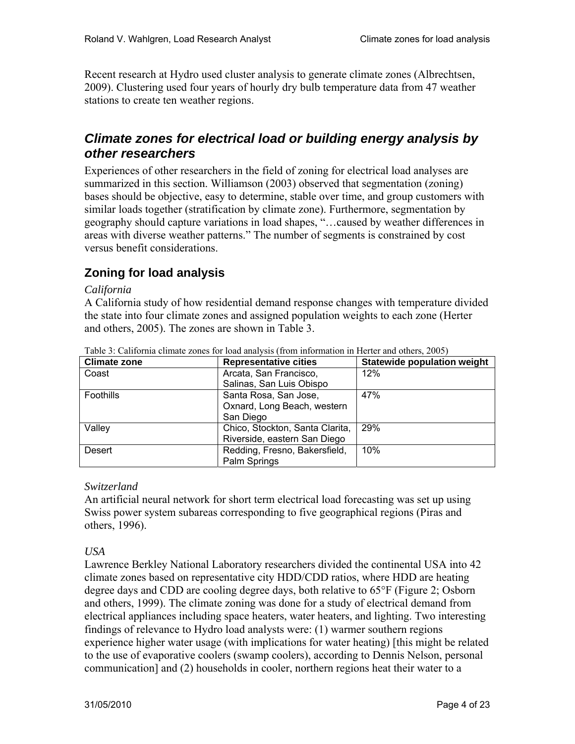Recent research at Hydro used cluster analysis to generate climate zones (Albrechtsen, 2009). Clustering used four years of hourly dry bulb temperature data from 47 weather stations to create ten weather regions.

# *Climate zones for electrical load or building energy analysis by other researchers*

Experiences of other researchers in the field of zoning for electrical load analyses are summarized in this section. Williamson (2003) observed that segmentation (zoning) bases should be objective, easy to determine, stable over time, and group customers with similar loads together (stratification by climate zone). Furthermore, segmentation by geography should capture variations in load shapes, "…caused by weather differences in areas with diverse weather patterns." The number of segments is constrained by cost versus benefit considerations.

# **Zoning for load analysis**

## *California*

A California study of how residential demand response changes with temperature divided the state into four climate zones and assigned population weights to each zone (Herter and others, 2005). The zones are shown in Table 3.

| <b>Climate zone</b> | <b>Representative cities</b>    | <b>Statewide population weight</b> |
|---------------------|---------------------------------|------------------------------------|
| Coast               | Arcata, San Francisco,          | 12%                                |
|                     | Salinas, San Luis Obispo        |                                    |
| <b>Foothills</b>    | Santa Rosa, San Jose,           | 47%                                |
|                     | Oxnard, Long Beach, western     |                                    |
|                     | San Diego                       |                                    |
| Valley              | Chico, Stockton, Santa Clarita, | 29%                                |
|                     | Riverside, eastern San Diego    |                                    |
| Desert              | Redding, Fresno, Bakersfield,   | 10%                                |
|                     | Palm Springs                    |                                    |

Table 3: California climate zones for load analysis (from information in Herter and others, 2005)

## *Switzerland*

An artificial neural network for short term electrical load forecasting was set up using Swiss power system subareas corresponding to five geographical regions (Piras and others, 1996).

## *USA*

Lawrence Berkley National Laboratory researchers divided the continental USA into 42 climate zones based on representative city HDD/CDD ratios, where HDD are heating degree days and CDD are cooling degree days, both relative to 65°F (Figure 2; Osborn and others, 1999). The climate zoning was done for a study of electrical demand from electrical appliances including space heaters, water heaters, and lighting. Two interesting findings of relevance to Hydro load analysts were: (1) warmer southern regions experience higher water usage (with implications for water heating) [this might be related to the use of evaporative coolers (swamp coolers), according to Dennis Nelson, personal communication] and (2) households in cooler, northern regions heat their water to a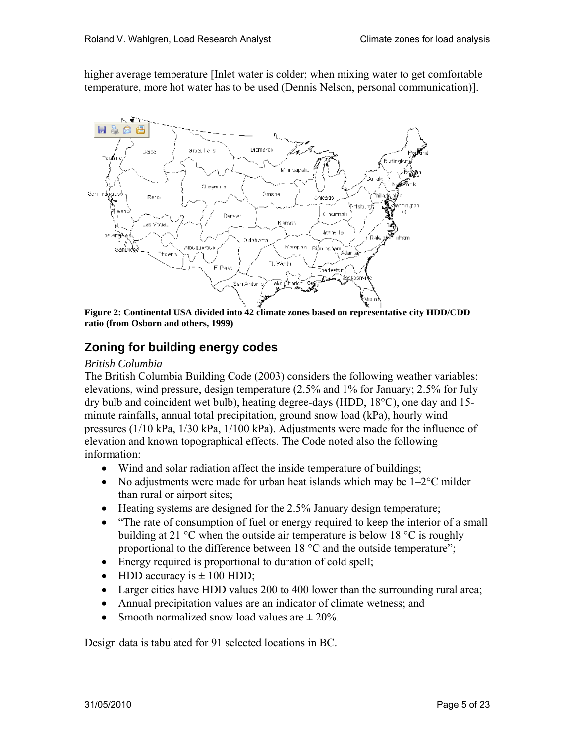higher average temperature [Inlet water is colder; when mixing water to get comfortable temperature, more hot water has to be used (Dennis Nelson, personal communication)].



**Figure 2: Continental USA divided into 42 climate zones based on representative city HDD/CDD ratio (from Osborn and others, 1999)** 

# **Zoning for building energy codes**

#### *British Columbia*

The British Columbia Building Code (2003) considers the following weather variables: elevations, wind pressure, design temperature (2.5% and 1% for January; 2.5% for July dry bulb and coincident wet bulb), heating degree-days (HDD, 18°C), one day and 15 minute rainfalls, annual total precipitation, ground snow load (kPa), hourly wind pressures (1/10 kPa, 1/30 kPa, 1/100 kPa). Adjustments were made for the influence of elevation and known topographical effects. The Code noted also the following information:

- Wind and solar radiation affect the inside temperature of buildings;
- No adjustments were made for urban heat islands which may be  $1-2^{\circ}$ C milder than rural or airport sites;
- Heating systems are designed for the 2.5% January design temperature;
- "The rate of consumption of fuel or energy required to keep the interior of a small building at 21 °C when the outside air temperature is below 18 °C is roughly proportional to the difference between 18 °C and the outside temperature";
- Energy required is proportional to duration of cold spell;
- HDD accuracy is  $\pm$  100 HDD;
- Larger cities have HDD values 200 to 400 lower than the surrounding rural area;
- Annual precipitation values are an indicator of climate wetness; and
- Smooth normalized snow load values are  $\pm 20\%$ .

Design data is tabulated for 91 selected locations in BC.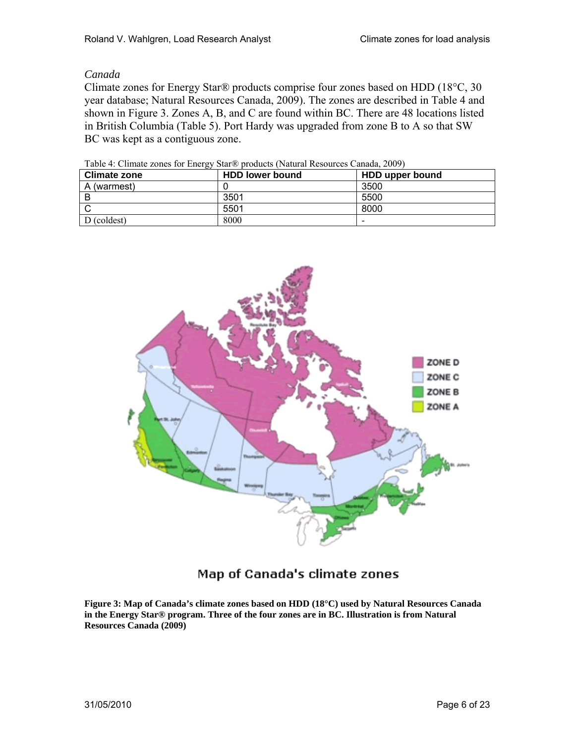#### *Canada*

Climate zones for Energy Star® products comprise four zones based on HDD (18°C, 30 year database; Natural Resources Canada, 2009). The zones are described in Table 4 and shown in Figure 3. Zones A, B, and C are found within BC. There are 48 locations listed in British Columbia (Table 5). Port Hardy was upgraded from zone B to A so that SW BC was kept as a contiguous zone.

| <b>Climate zone</b> | <b>HDD lower bound</b> | HDD upper bound |
|---------------------|------------------------|-----------------|
| A (warmest)         |                        | 3500            |
|                     | 3501                   | 5500            |
|                     | 5501                   | 8000            |
| D (coldest)         | 8000                   | -               |

Table 4: Climate zones for Energy Star® products (Natural Resources Canada, 2009)



# Map of Canada's climate zones

**Figure 3: Map of Canada's climate zones based on HDD (18°C) used by Natural Resources Canada in the Energy Star® program. Three of the four zones are in BC. Illustration is from Natural Resources Canada (2009)**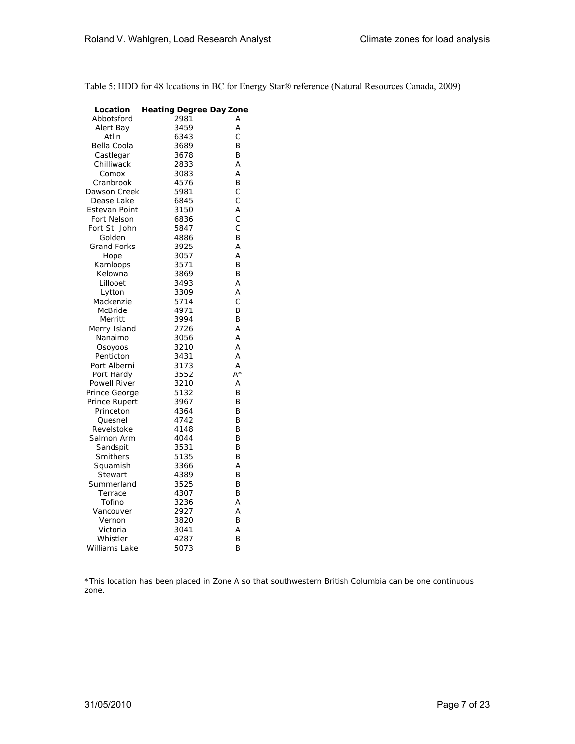Table 5: HDD for 48 locations in BC for Energy Star® reference (Natural Resources Canada, 2009)

| Location            | <b>Heating Degree Day Zone</b> |    |
|---------------------|--------------------------------|----|
| Abbotsford          | 2981                           | A  |
| Alert Bay           | 3459                           | A  |
| Atlin               | 6343                           | Ċ  |
| Bella Coola         | 3689                           | B  |
| Castlegar           | 3678                           | B  |
| Chilliwack          | 2833                           | A  |
| Comox               | 3083                           | A  |
| Cranbrook           | 4576                           | B  |
| Dawson Creek        | 5981                           | C  |
| Dease Lake          | 6845                           | C  |
| Estevan Point       | 3150                           | A  |
| Fort Nelson         | 6836                           | C  |
| Fort St. John       | 5847                           | C  |
| Golden              | 4886                           | B  |
| <b>Grand Forks</b>  | 3925                           | A  |
| Hope                | 3057                           | A  |
| Kamloops            | 3571                           | B  |
| Kelowna             | 3869                           | B  |
| Lillooet            | 3493                           | A  |
| Lytton              | 3309                           | A  |
| Mackenzie           | 5714                           | C  |
| <b>McBride</b>      | 4971                           | B  |
| Merritt             | 3994                           | B  |
| Merry Island        | 2726                           | A  |
| Nanaimo             | 3056                           | A  |
| Osoyoos             | 3210                           | A  |
| Penticton           | 3431                           | А  |
| Port Alberni        | 3173                           | A  |
| Port Hardy          | 3552                           | A* |
| <b>Powell River</b> | 3210                           | A  |
| Prince George       | 5132                           | B  |
| Prince Rupert       | 3967                           | B  |
| Princeton           | 4364                           | B  |
| Quesnel             | 4742                           | B  |
| Revelstoke          | 4148                           | B  |
| Salmon Arm          | 4044                           | B  |
| Sandspit            | 3531                           | B  |
| Smithers            | 5135                           | B  |
| Squamish            | 3366                           | A  |
| Stewart             | 4389                           | B  |
| Summerland          | 3525                           | B  |
| Terrace             | 4307                           | B  |
| Tofino              | 3236                           | A  |
| Vancouver           | 2927                           | A  |
| Vernon              | 3820                           | B  |
| Victoria            | 3041                           | A  |
| Whistler            | 4287                           | B  |
| Williams Lake       | 5073                           | B  |

\*This location has been placed in Zone A so that southwestern British Columbia can be one continuous zone.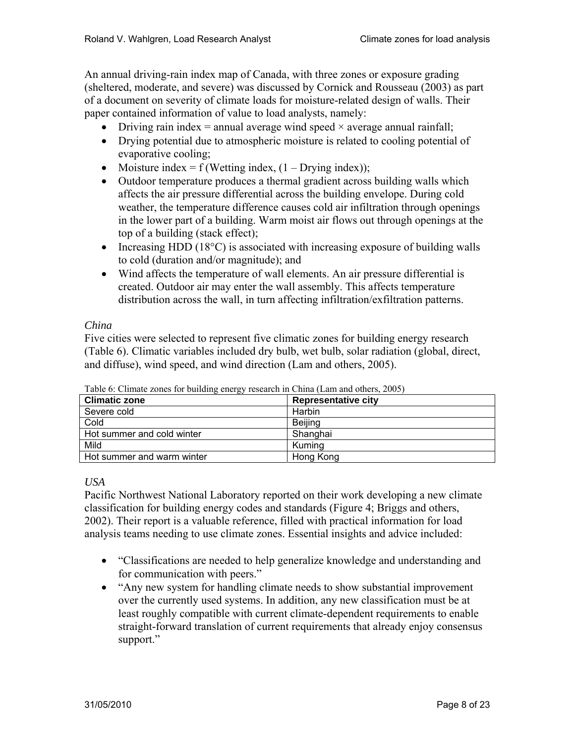An annual driving-rain index map of Canada, with three zones or exposure grading (sheltered, moderate, and severe) was discussed by Cornick and Rousseau (2003) as part of a document on severity of climate loads for moisture-related design of walls. Their paper contained information of value to load analysts, namely:

- Driving rain index = annual average wind speed  $\times$  average annual rainfall;
- Drying potential due to atmospheric moisture is related to cooling potential of evaporative cooling;
- Moisture index =  $f$  (Wetting index,  $(1 Drying index)$ );
- Outdoor temperature produces a thermal gradient across building walls which affects the air pressure differential across the building envelope. During cold weather, the temperature difference causes cold air infiltration through openings in the lower part of a building. Warm moist air flows out through openings at the top of a building (stack effect);
- Increasing HDD (18°C) is associated with increasing exposure of building walls to cold (duration and/or magnitude); and
- Wind affects the temperature of wall elements. An air pressure differential is created. Outdoor air may enter the wall assembly. This affects temperature distribution across the wall, in turn affecting infiltration/exfiltration patterns.

## *China*

Five cities were selected to represent five climatic zones for building energy research (Table 6). Climatic variables included dry bulb, wet bulb, solar radiation (global, direct, and diffuse), wind speed, and wind direction (Lam and others, 2005).

| <b>Climatic zone</b>       | Representative city |
|----------------------------|---------------------|
| Severe cold                | Harbin              |
| Cold                       | Beijing             |
| Hot summer and cold winter | Shanghai            |
| Mild                       | Kumina              |
| Hot summer and warm winter | Hong Kong           |

Table 6: Climate zones for building energy research in China (Lam and others, 2005)

*USA* 

Pacific Northwest National Laboratory reported on their work developing a new climate classification for building energy codes and standards (Figure 4; Briggs and others, 2002). Their report is a valuable reference, filled with practical information for load analysis teams needing to use climate zones. Essential insights and advice included:

- "Classifications are needed to help generalize knowledge and understanding and for communication with peers."
- "Any new system for handling climate needs to show substantial improvement over the currently used systems. In addition, any new classification must be at least roughly compatible with current climate-dependent requirements to enable straight-forward translation of current requirements that already enjoy consensus support."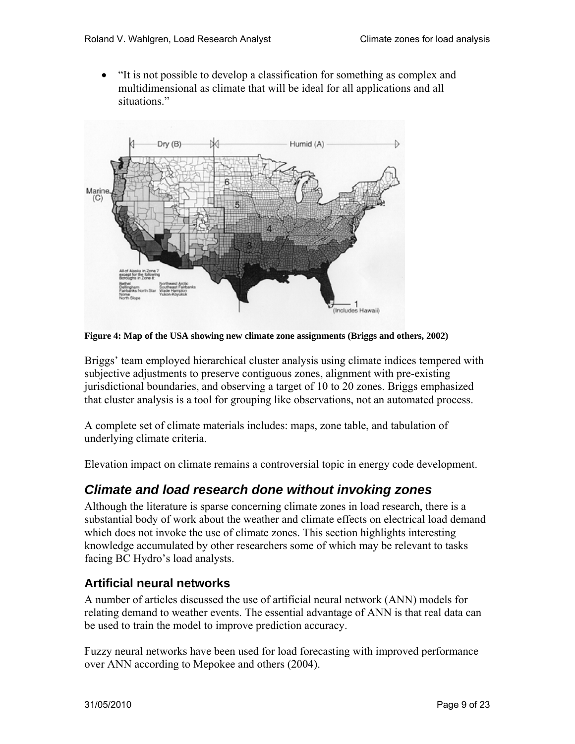• "It is not possible to develop a classification for something as complex and multidimensional as climate that will be ideal for all applications and all situations."



**Figure 4: Map of the USA showing new climate zone assignments (Briggs and others, 2002)**

Briggs' team employed hierarchical cluster analysis using climate indices tempered with subjective adjustments to preserve contiguous zones, alignment with pre-existing jurisdictional boundaries, and observing a target of 10 to 20 zones. Briggs emphasized that cluster analysis is a tool for grouping like observations, not an automated process.

A complete set of climate materials includes: maps, zone table, and tabulation of underlying climate criteria.

Elevation impact on climate remains a controversial topic in energy code development.

# *Climate and load research done without invoking zones*

Although the literature is sparse concerning climate zones in load research, there is a substantial body of work about the weather and climate effects on electrical load demand which does not invoke the use of climate zones. This section highlights interesting knowledge accumulated by other researchers some of which may be relevant to tasks facing BC Hydro's load analysts.

## **Artificial neural networks**

A number of articles discussed the use of artificial neural network (ANN) models for relating demand to weather events. The essential advantage of ANN is that real data can be used to train the model to improve prediction accuracy.

Fuzzy neural networks have been used for load forecasting with improved performance over ANN according to Mepokee and others (2004).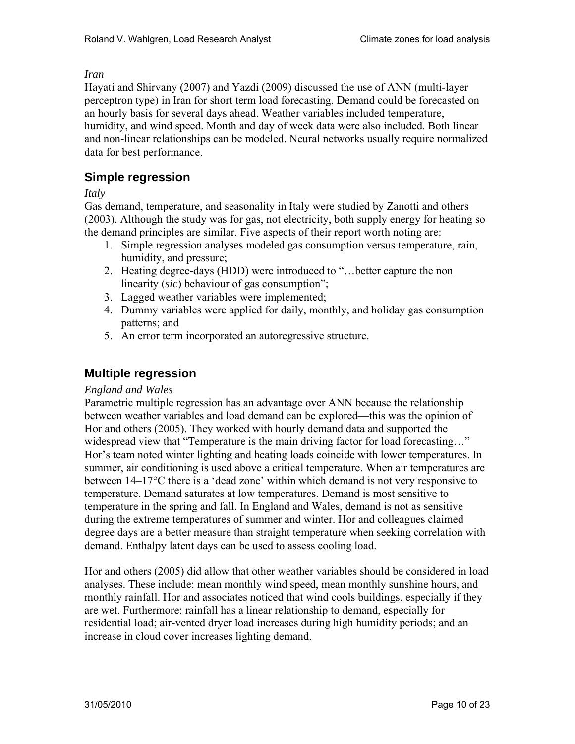#### *Iran*

Hayati and Shirvany (2007) and Yazdi (2009) discussed the use of ANN (multi-layer perceptron type) in Iran for short term load forecasting. Demand could be forecasted on an hourly basis for several days ahead. Weather variables included temperature, humidity, and wind speed. Month and day of week data were also included. Both linear and non-linear relationships can be modeled. Neural networks usually require normalized data for best performance.

## **Simple regression**

#### *Italy*

Gas demand, temperature, and seasonality in Italy were studied by Zanotti and others (2003). Although the study was for gas, not electricity, both supply energy for heating so the demand principles are similar. Five aspects of their report worth noting are:

- 1. Simple regression analyses modeled gas consumption versus temperature, rain, humidity, and pressure;
- 2. Heating degree-days (HDD) were introduced to "…better capture the non linearity (*sic*) behaviour of gas consumption";
- 3. Lagged weather variables were implemented;
- 4. Dummy variables were applied for daily, monthly, and holiday gas consumption patterns; and
- 5. An error term incorporated an autoregressive structure.

## **Multiple regression**

## *England and Wales*

Parametric multiple regression has an advantage over ANN because the relationship between weather variables and load demand can be explored—this was the opinion of Hor and others (2005). They worked with hourly demand data and supported the widespread view that "Temperature is the main driving factor for load forecasting..." Hor's team noted winter lighting and heating loads coincide with lower temperatures. In summer, air conditioning is used above a critical temperature. When air temperatures are between 14–17°C there is a 'dead zone' within which demand is not very responsive to temperature. Demand saturates at low temperatures. Demand is most sensitive to temperature in the spring and fall. In England and Wales, demand is not as sensitive during the extreme temperatures of summer and winter. Hor and colleagues claimed degree days are a better measure than straight temperature when seeking correlation with demand. Enthalpy latent days can be used to assess cooling load.

Hor and others (2005) did allow that other weather variables should be considered in load analyses. These include: mean monthly wind speed, mean monthly sunshine hours, and monthly rainfall. Hor and associates noticed that wind cools buildings, especially if they are wet. Furthermore: rainfall has a linear relationship to demand, especially for residential load; air-vented dryer load increases during high humidity periods; and an increase in cloud cover increases lighting demand.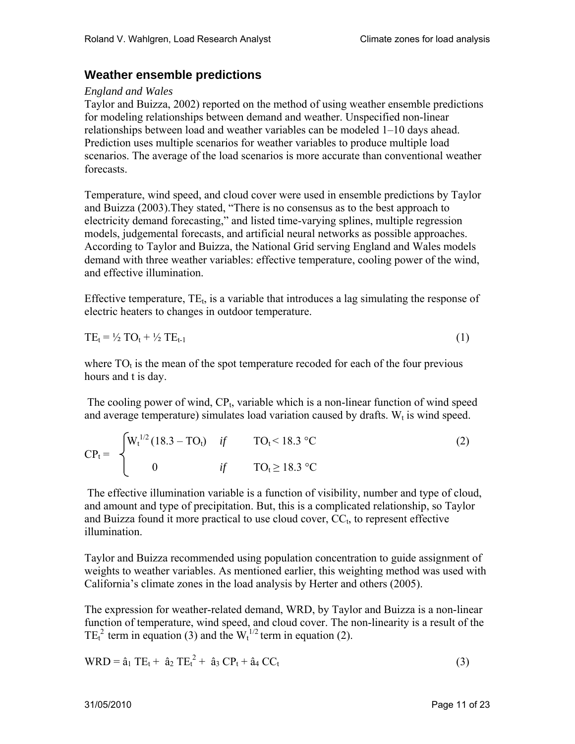## **Weather ensemble predictions**

## *England and Wales*

Taylor and Buizza, 2002) reported on the method of using weather ensemble predictions for modeling relationships between demand and weather. Unspecified non-linear relationships between load and weather variables can be modeled 1–10 days ahead. Prediction uses multiple scenarios for weather variables to produce multiple load scenarios. The average of the load scenarios is more accurate than conventional weather forecasts.

Temperature, wind speed, and cloud cover were used in ensemble predictions by Taylor and Buizza (2003).They stated, "There is no consensus as to the best approach to electricity demand forecasting," and listed time-varying splines, multiple regression models, judgemental forecasts, and artificial neural networks as possible approaches. According to Taylor and Buizza, the National Grid serving England and Wales models demand with three weather variables: effective temperature, cooling power of the wind, and effective illumination.

Effective temperature,  $TE_t$ , is a variable that introduces a lag simulating the response of electric heaters to changes in outdoor temperature.

$$
TE_t = \frac{1}{2} TO_t + \frac{1}{2} TE_{t-1}
$$
 (1)

where  $TO<sub>t</sub>$  is the mean of the spot temperature recoded for each of the four previous hours and t is day.

The cooling power of wind,  $CP<sub>t</sub>$ , variable which is a non-linear function of wind speed and average temperature) simulates load variation caused by drafts.  $W_t$  is wind speed.

$$
CP_{t} = \begin{cases} W_{t}^{1/2} (18.3 - TO_{t}) & \text{if} \qquad TO_{t} < 18.3 \text{ °C} \\ 0 & \text{if} \qquad TO_{t} \ge 18.3 \text{ °C} \end{cases}
$$
 (2)

 The effective illumination variable is a function of visibility, number and type of cloud, and amount and type of precipitation. But, this is a complicated relationship, so Taylor and Buizza found it more practical to use cloud cover,  $CC<sub>t</sub>$ , to represent effective illumination.

Taylor and Buizza recommended using population concentration to guide assignment of weights to weather variables. As mentioned earlier, this weighting method was used with California's climate zones in the load analysis by Herter and others (2005).

The expression for weather-related demand, WRD, by Taylor and Buizza is a non-linear function of temperature, wind speed, and cloud cover. The non-linearity is a result of the TE<sub>t</sub><sup>2</sup> term in equation (3) and the W<sub>t</sub><sup>1/2</sup> term in equation (2).

$$
WRD = \hat{a}_1 TE_t + \hat{a}_2 TE_t^2 + \hat{a}_3 CP_t + \hat{a}_4 CC_t
$$
\n(3)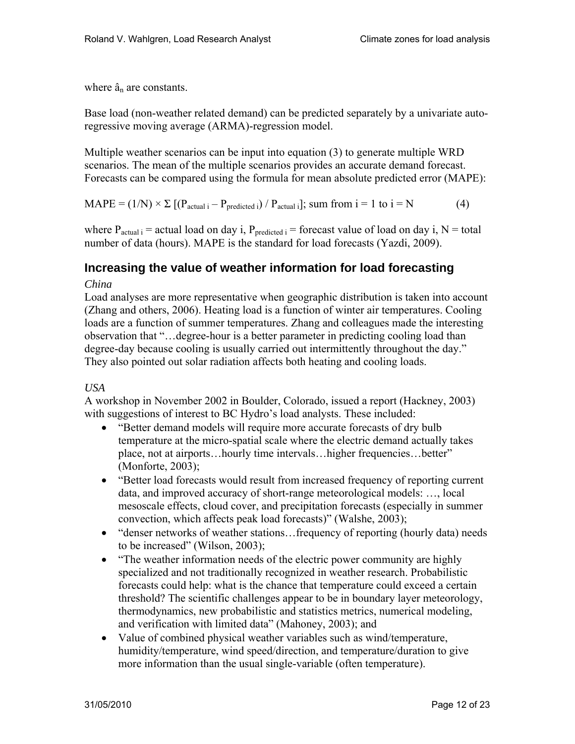where  $\hat{a}_n$  are constants.

Base load (non-weather related demand) can be predicted separately by a univariate autoregressive moving average (ARMA)-regression model.

Multiple weather scenarios can be input into equation (3) to generate multiple WRD scenarios. The mean of the multiple scenarios provides an accurate demand forecast. Forecasts can be compared using the formula for mean absolute predicted error (MAPE):

 $\text{MAPE} = (1/N) \times \Sigma \left[ \left( P_{\text{actual }i} - P_{\text{predicted }i} \right) / P_{\text{actual }i} \right]; \text{ sum from } i = 1 \text{ to } i = N \right]$  (4)

where  $P_{actual i}$  = actual load on day i,  $P_{predicted i}$  = forecast value of load on day i, N = total number of data (hours). MAPE is the standard for load forecasts (Yazdi, 2009).

## **Increasing the value of weather information for load forecasting**

#### *China*

Load analyses are more representative when geographic distribution is taken into account (Zhang and others, 2006). Heating load is a function of winter air temperatures. Cooling loads are a function of summer temperatures. Zhang and colleagues made the interesting observation that "…degree-hour is a better parameter in predicting cooling load than degree-day because cooling is usually carried out intermittently throughout the day." They also pointed out solar radiation affects both heating and cooling loads.

## *USA*

A workshop in November 2002 in Boulder, Colorado, issued a report (Hackney, 2003) with suggestions of interest to BC Hydro's load analysts. These included:

- "Better demand models will require more accurate forecasts of dry bulb temperature at the micro-spatial scale where the electric demand actually takes place, not at airports…hourly time intervals…higher frequencies…better" (Monforte, 2003);
- "Better load forecasts would result from increased frequency of reporting current data, and improved accuracy of short-range meteorological models: …, local mesoscale effects, cloud cover, and precipitation forecasts (especially in summer convection, which affects peak load forecasts)" (Walshe, 2003);
- "denser networks of weather stations...frequency of reporting (hourly data) needs to be increased" (Wilson, 2003);
- "The weather information needs of the electric power community are highly specialized and not traditionally recognized in weather research. Probabilistic forecasts could help: what is the chance that temperature could exceed a certain threshold? The scientific challenges appear to be in boundary layer meteorology, thermodynamics, new probabilistic and statistics metrics, numerical modeling, and verification with limited data" (Mahoney, 2003); and
- Value of combined physical weather variables such as wind/temperature, humidity/temperature, wind speed/direction, and temperature/duration to give more information than the usual single-variable (often temperature).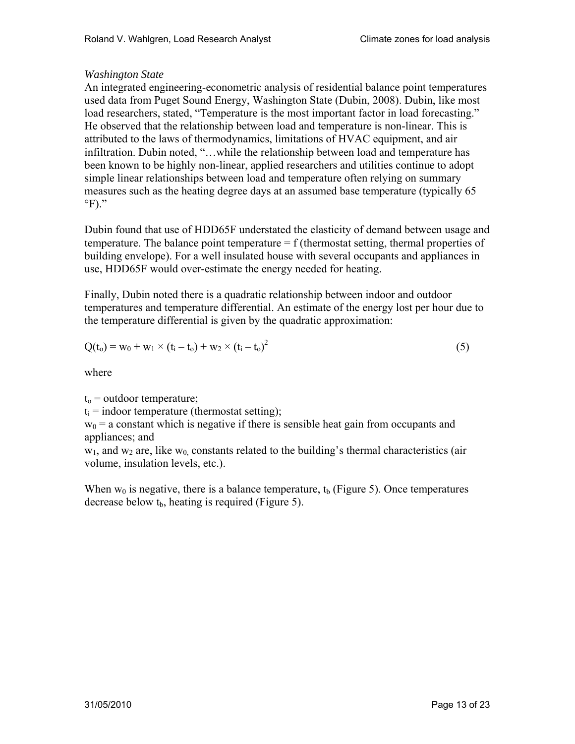## *Washington State*

An integrated engineering-econometric analysis of residential balance point temperatures used data from Puget Sound Energy, Washington State (Dubin, 2008). Dubin, like most load researchers, stated, "Temperature is the most important factor in load forecasting." He observed that the relationship between load and temperature is non-linear. This is attributed to the laws of thermodynamics, limitations of HVAC equipment, and air infiltration. Dubin noted, "…while the relationship between load and temperature has been known to be highly non-linear, applied researchers and utilities continue to adopt simple linear relationships between load and temperature often relying on summary measures such as the heating degree days at an assumed base temperature (typically 65  $\mathrm{P}$ ."

Dubin found that use of HDD65F understated the elasticity of demand between usage and temperature. The balance point temperature  $= f$  (thermostat setting, thermal properties of building envelope). For a well insulated house with several occupants and appliances in use, HDD65F would over-estimate the energy needed for heating.

Finally, Dubin noted there is a quadratic relationship between indoor and outdoor temperatures and temperature differential. An estimate of the energy lost per hour due to the temperature differential is given by the quadratic approximation:

$$
Q(t_0) = w_0 + w_1 \times (t_i - t_0) + w_2 \times (t_i - t_0)^2
$$
\n(5)

where

 $t<sub>o</sub>$  = outdoor temperature;

 $t_i$  = indoor temperature (thermostat setting);

 $w_0$  = a constant which is negative if there is sensible heat gain from occupants and appliances; and

 $w_1$ , and  $w_2$  are, like  $w_0$  constants related to the building's thermal characteristics (air volume, insulation levels, etc.).

When  $w_0$  is negative, there is a balance temperature,  $t_b$  (Figure 5). Once temperatures decrease below  $t<sub>b</sub>$ , heating is required (Figure 5).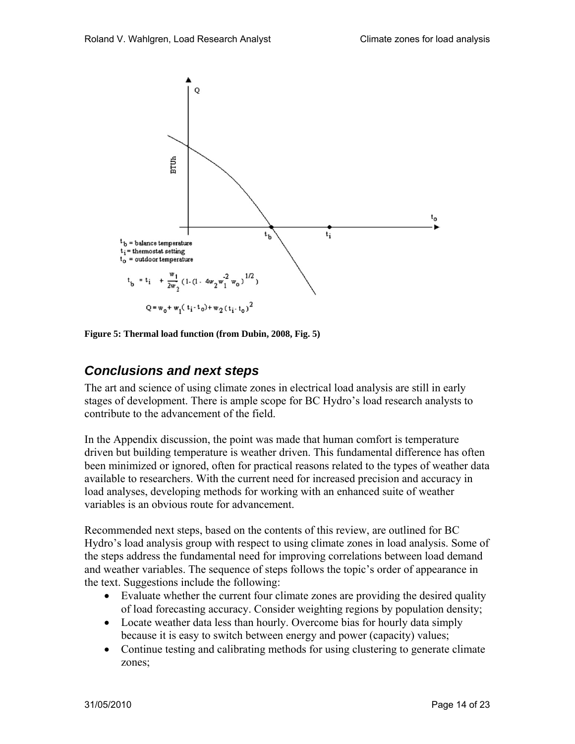

**Figure 5: Thermal load function (from Dubin, 2008, Fig. 5)** 

# *Conclusions and next steps*

The art and science of using climate zones in electrical load analysis are still in early stages of development. There is ample scope for BC Hydro's load research analysts to contribute to the advancement of the field.

In the Appendix discussion, the point was made that human comfort is temperature driven but building temperature is weather driven. This fundamental difference has often been minimized or ignored, often for practical reasons related to the types of weather data available to researchers. With the current need for increased precision and accuracy in load analyses, developing methods for working with an enhanced suite of weather variables is an obvious route for advancement.

Recommended next steps, based on the contents of this review, are outlined for BC Hydro's load analysis group with respect to using climate zones in load analysis. Some of the steps address the fundamental need for improving correlations between load demand and weather variables. The sequence of steps follows the topic's order of appearance in the text. Suggestions include the following:

- Evaluate whether the current four climate zones are providing the desired quality of load forecasting accuracy. Consider weighting regions by population density;
- Locate weather data less than hourly. Overcome bias for hourly data simply because it is easy to switch between energy and power (capacity) values;
- Continue testing and calibrating methods for using clustering to generate climate zones;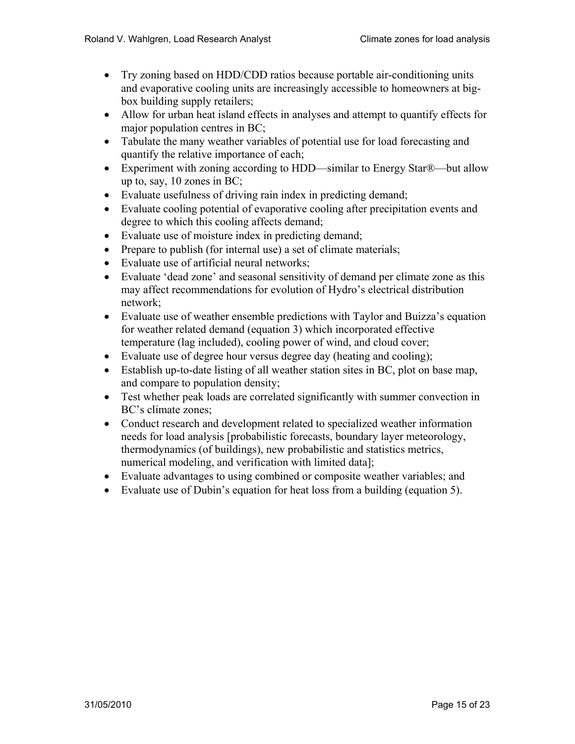- Try zoning based on HDD/CDD ratios because portable air-conditioning units and evaporative cooling units are increasingly accessible to homeowners at bigbox building supply retailers;
- Allow for urban heat island effects in analyses and attempt to quantify effects for major population centres in BC;
- Tabulate the many weather variables of potential use for load forecasting and quantify the relative importance of each;
- Experiment with zoning according to HDD—similar to Energy Star®—but allow up to, say, 10 zones in BC;
- Evaluate usefulness of driving rain index in predicting demand;
- Evaluate cooling potential of evaporative cooling after precipitation events and degree to which this cooling affects demand;
- Evaluate use of moisture index in predicting demand;
- Prepare to publish (for internal use) a set of climate materials;
- Evaluate use of artificial neural networks;
- Evaluate 'dead zone' and seasonal sensitivity of demand per climate zone as this may affect recommendations for evolution of Hydro's electrical distribution network;
- Evaluate use of weather ensemble predictions with Taylor and Buizza's equation for weather related demand (equation 3) which incorporated effective temperature (lag included), cooling power of wind, and cloud cover;
- Evaluate use of degree hour versus degree day (heating and cooling);
- Establish up-to-date listing of all weather station sites in BC, plot on base map, and compare to population density;
- Test whether peak loads are correlated significantly with summer convection in BC's climate zones;
- Conduct research and development related to specialized weather information needs for load analysis [probabilistic forecasts, boundary layer meteorology, thermodynamics (of buildings), new probabilistic and statistics metrics, numerical modeling, and verification with limited data];
- Evaluate advantages to using combined or composite weather variables; and
- Evaluate use of Dubin's equation for heat loss from a building (equation 5).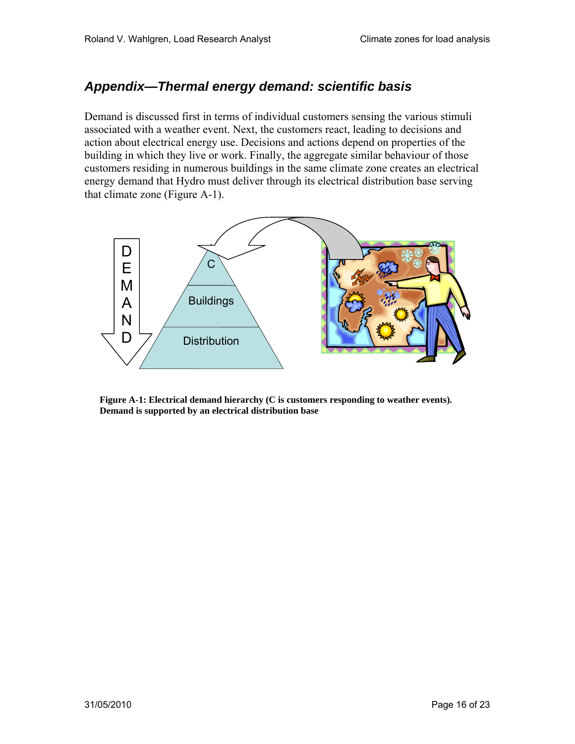# *Appendix—Thermal energy demand: scientific basis*

Demand is discussed first in terms of individual customers sensing the various stimuli associated with a weather event. Next, the customers react, leading to decisions and action about electrical energy use. Decisions and actions depend on properties of the building in which they live or work. Finally, the aggregate similar behaviour of those customers residing in numerous buildings in the same climate zone creates an electrical energy demand that Hydro must deliver through its electrical distribution base serving that climate zone (Figure A-1).



**Figure A-1: Electrical demand hierarchy (C is customers responding to weather events). Demand is supported by an electrical distribution base**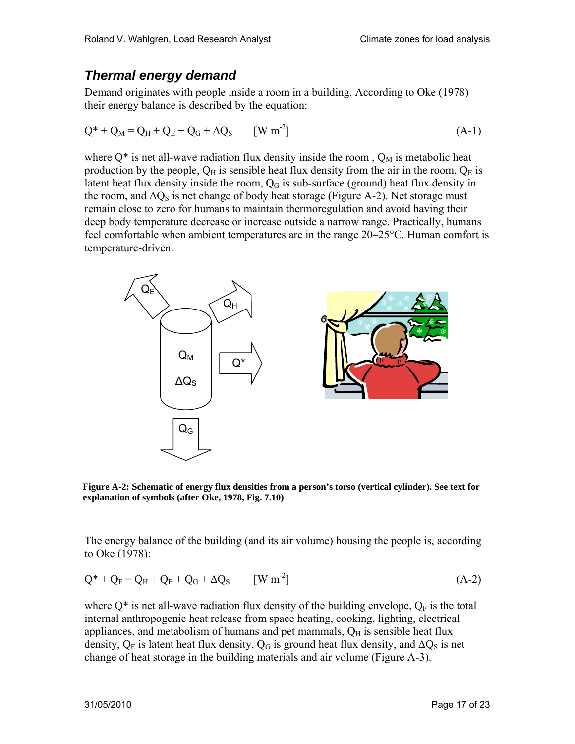# *Thermal energy demand*

Demand originates with people inside a room in a building. According to Oke (1978) their energy balance is described by the equation:

$$
Q^* + Q_M = Q_H + Q_E + Q_G + \Delta Q_S \qquad [W \, m^2]
$$
 (A-1)

where  $Q^*$  is net all-wave radiation flux density inside the room,  $Q_M$  is metabolic heat production by the people,  $Q_H$  is sensible heat flux density from the air in the room,  $Q_E$  is latent heat flux density inside the room,  $Q<sub>G</sub>$  is sub-surface (ground) heat flux density in the room, and  $\Delta Q_S$  is net change of body heat storage (Figure A-2). Net storage must remain close to zero for humans to maintain thermoregulation and avoid having their deep body temperature decrease or increase outside a narrow range. Practically, humans feel comfortable when ambient temperatures are in the range 20–25°C. Human comfort is temperature-driven.



 **Figure A-2: Schematic of energy flux densities from a person's torso (vertical cylinder). See text for explanation of symbols (after Oke, 1978, Fig. 7.10)** 

The energy balance of the building (and its air volume) housing the people is, according to Oke (1978):

$$
Q^* + Q_F = Q_H + Q_E + Q_G + \Delta Q_S \qquad [W \, m^{-2}] \tag{A-2}
$$

where  $Q^*$  is net all-wave radiation flux density of the building envelope,  $Q_F$  is the total internal anthropogenic heat release from space heating, cooking, lighting, electrical appliances, and metabolism of humans and pet mammals,  $O<sub>H</sub>$  is sensible heat flux density,  $Q_E$  is latent heat flux density,  $Q_G$  is ground heat flux density, and  $\Delta Q_S$  is net change of heat storage in the building materials and air volume (Figure A-3).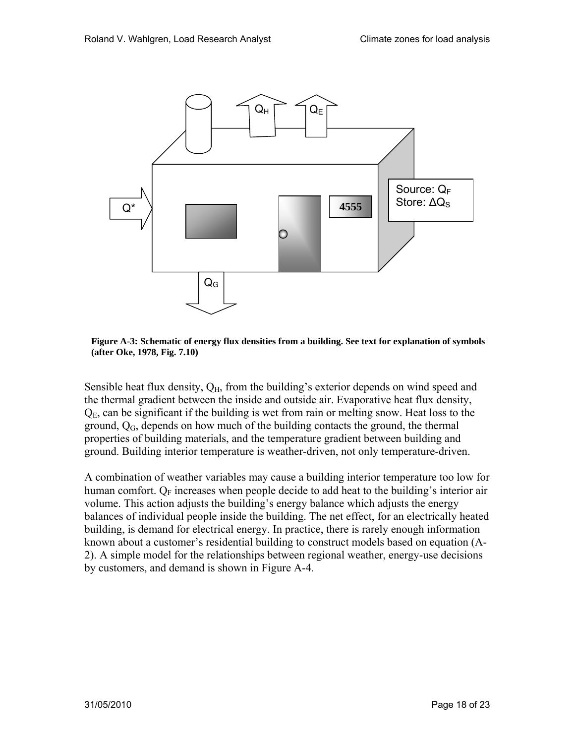

**Figure A-3: Schematic of energy flux densities from a building. See text for explanation of symbols (after Oke, 1978, Fig. 7.10)** 

Sensible heat flux density,  $Q_H$ , from the building's exterior depends on wind speed and the thermal gradient between the inside and outside air. Evaporative heat flux density,  $Q<sub>E</sub>$ , can be significant if the building is wet from rain or melting snow. Heat loss to the ground,  $Q_G$ , depends on how much of the building contacts the ground, the thermal properties of building materials, and the temperature gradient between building and ground. Building interior temperature is weather-driven, not only temperature-driven.

A combination of weather variables may cause a building interior temperature too low for human comfort.  $Q_F$  increases when people decide to add heat to the building's interior air volume. This action adjusts the building's energy balance which adjusts the energy balances of individual people inside the building. The net effect, for an electrically heated building, is demand for electrical energy. In practice, there is rarely enough information known about a customer's residential building to construct models based on equation (A-2). A simple model for the relationships between regional weather, energy-use decisions by customers, and demand is shown in Figure A-4.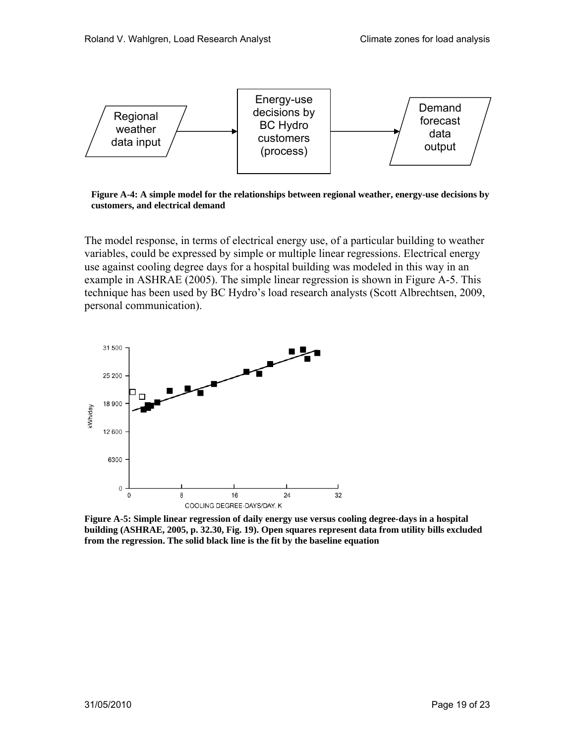

**Figure A-4: A simple model for the relationships between regional weather, energy-use decisions by customers, and electrical demand** 

The model response, in terms of electrical energy use, of a particular building to weather variables, could be expressed by simple or multiple linear regressions. Electrical energy use against cooling degree days for a hospital building was modeled in this way in an example in ASHRAE (2005). The simple linear regression is shown in Figure A-5. This technique has been used by BC Hydro's load research analysts (Scott Albrechtsen, 2009, personal communication).



**Figure A-5: Simple linear regression of daily energy use versus cooling degree-days in a hospital building (ASHRAE, 2005, p. 32.30, Fig. 19). Open squares represent data from utility bills excluded from the regression. The solid black line is the fit by the baseline equation**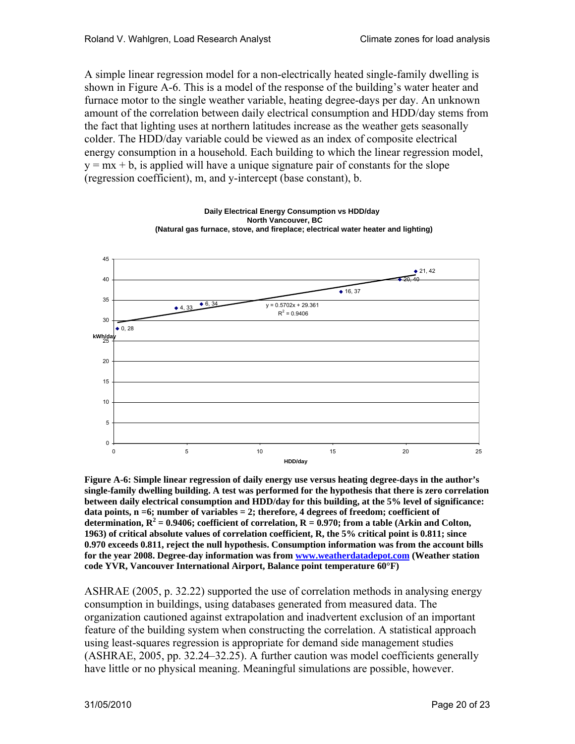A simple linear regression model for a non-electrically heated single-family dwelling is shown in Figure A-6. This is a model of the response of the building's water heater and furnace motor to the single weather variable, heating degree-days per day. An unknown amount of the correlation between daily electrical consumption and HDD/day stems from the fact that lighting uses at northern latitudes increase as the weather gets seasonally colder. The HDD/day variable could be viewed as an index of composite electrical energy consumption in a household. Each building to which the linear regression model,  $y = mx + b$ , is applied will have a unique signature pair of constants for the slope (regression coefficient), m, and y-intercept (base constant), b.



**Daily Electrical Energy Consumption vs HDD/day**

**Figure A-6: Simple linear regression of daily energy use versus heating degree-days in the author's single-family dwelling building. A test was performed for the hypothesis that there is zero correlation between daily electrical consumption and HDD/day for this building, at the 5% level of significance: data points, n =6; number of variables = 2; therefore, 4 degrees of freedom; coefficient of**  determination,  $R^2$  = 0.9406; coefficient of correlation,  $R = 0.970$ ; from a table (Arkin and Colton, **1963) of critical absolute values of correlation coefficient, R, the 5% critical point is 0.811; since 0.970 exceeds 0.811, reject the null hypothesis. Consumption information was from the account bills for the year 2008. Degree-day information was from www.weatherdatadepot.com (Weather station code YVR, Vancouver International Airport, Balance point temperature 60°F)** 

ASHRAE (2005, p. 32.22) supported the use of correlation methods in analysing energy consumption in buildings, using databases generated from measured data. The organization cautioned against extrapolation and inadvertent exclusion of an important feature of the building system when constructing the correlation. A statistical approach using least-squares regression is appropriate for demand side management studies (ASHRAE, 2005, pp. 32.24–32.25). A further caution was model coefficients generally have little or no physical meaning. Meaningful simulations are possible, however.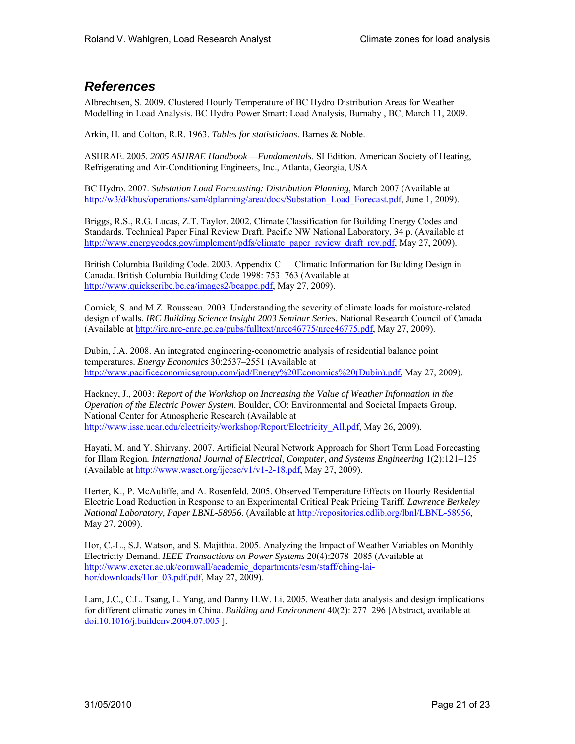# *References*

Albrechtsen, S. 2009. Clustered Hourly Temperature of BC Hydro Distribution Areas for Weather Modelling in Load Analysis. BC Hydro Power Smart: Load Analysis, Burnaby , BC, March 11, 2009.

Arkin, H. and Colton, R.R. 1963. *Tables for statisticians*. Barnes & Noble.

ASHRAE. 2005. *2005 ASHRAE Handbook —Fundamentals*. SI Edition. American Society of Heating, Refrigerating and Air-Conditioning Engineers, Inc., Atlanta, Georgia, USA

BC Hydro. 2007. *Substation Load Forecasting: Distribution Planning*, March 2007 (Available at http://w3/d/kbus/operations/sam/dplanning/area/docs/Substation\_Load\_Forecast.pdf, June 1, 2009).

Briggs, R.S., R.G. Lucas, Z.T. Taylor. 2002. Climate Classification for Building Energy Codes and Standards. Technical Paper Final Review Draft. Pacific NW National Laboratory, 34 p. (Available at http://www.energycodes.gov/implement/pdfs/climate\_paper\_review\_draft\_rev.pdf, May 27, 2009).

British Columbia Building Code. 2003. Appendix C — Climatic Information for Building Design in Canada. British Columbia Building Code 1998: 753–763 (Available at http://www.quickscribe.bc.ca/images2/bcappc.pdf, May 27, 2009).

Cornick, S. and M.Z. Rousseau. 2003. Understanding the severity of climate loads for moisture-related design of walls*. IRC Building Science Insight 2003 Seminar Series*. National Research Council of Canada (Available at http://irc.nrc-cnrc.gc.ca/pubs/fulltext/nrcc46775/nrcc46775.pdf, May 27, 2009).

Dubin, J.A. 2008. An integrated engineering-econometric analysis of residential balance point temperatures. *Energy Economics* 30:2537–2551 (Available at http://www.pacificeconomicsgroup.com/jad/Energy%20Economics%20(Dubin).pdf, May 27, 2009).

Hackney, J., 2003: *Report of the Workshop on Increasing the Value of Weather Information in the Operation of the Electric Power System*. Boulder, CO: Environmental and Societal Impacts Group, National Center for Atmospheric Research (Available at http://www.isse.ucar.edu/electricity/workshop/Report/Electricity\_All.pdf, May 26, 2009).

Hayati, M. and Y. Shirvany. 2007. Artificial Neural Network Approach for Short Term Load Forecasting for Illam Region*. International Journal of Electrical, Computer, and Systems Engineering* 1(2):121–125 (Available at http://www.waset.org/ijecse/v1/v1-2-18.pdf, May 27, 2009).

Herter, K., P. McAuliffe, and A. Rosenfeld. 2005. Observed Temperature Effects on Hourly Residential Electric Load Reduction in Response to an Experimental Critical Peak Pricing Tariff. *Lawrence Berkeley National Laboratory, Paper LBNL-58956*. (Available at http://repositories.cdlib.org/lbnl/LBNL-58956, May 27, 2009).

Hor, C.-L., S.J. Watson, and S. Majithia. 2005. Analyzing the Impact of Weather Variables on Monthly Electricity Demand. *IEEE Transactions on Power Systems* 20(4):2078–2085 (Available at http://www.exeter.ac.uk/cornwall/academic\_departments/csm/staff/ching-laihor/downloads/Hor\_03.pdf.pdf, May 27, 2009).

Lam, J.C., C.L. Tsang, L. Yang, and Danny H.W. Li. 2005. Weather data analysis and design implications for different climatic zones in China. *Building and Environment* 40(2): 277–296 [Abstract, available at doi:10.1016/j.buildenv.2004.07.005 ].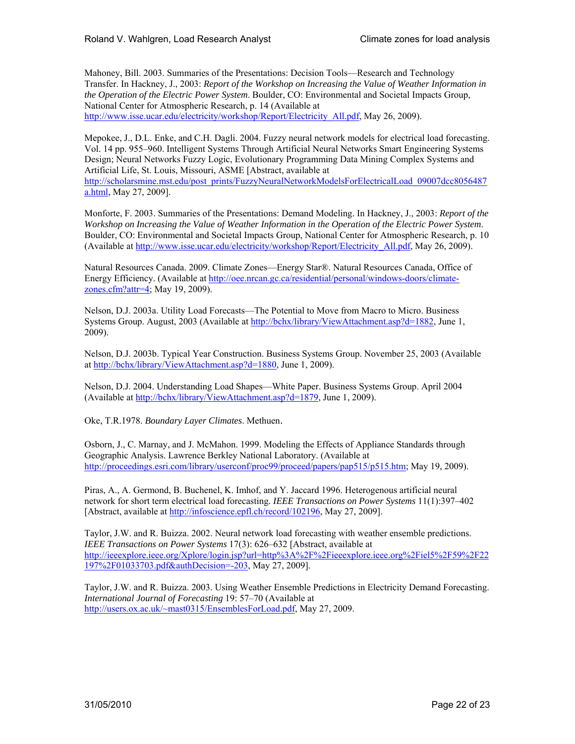Mahoney, Bill. 2003. Summaries of the Presentations: Decision Tools—Research and Technology Transfer. In Hackney, J., 2003: *Report of the Workshop on Increasing the Value of Weather Information in the Operation of the Electric Power System*. Boulder, CO: Environmental and Societal Impacts Group, National Center for Atmospheric Research, p. 14 (Available at http://www.isse.ucar.edu/electricity/workshop/Report/Electricity\_All.pdf, May 26, 2009).

Mepokee, J., D.L. Enke, and C.H. Dagli. 2004. Fuzzy neural network models for electrical load forecasting. Vol. 14 pp. 955–960. Intelligent Systems Through Artificial Neural Networks Smart Engineering Systems Design; Neural Networks Fuzzy Logic, Evolutionary Programming Data Mining Complex Systems and Artificial Life, St. Louis, Missouri, ASME [Abstract, available at

http://scholarsmine.mst.edu/post\_prints/FuzzyNeuralNetworkModelsForElectricalLoad\_09007dcc8056487 a.html, May 27, 2009].

Monforte, F. 2003. Summaries of the Presentations: Demand Modeling. In Hackney, J., 2003: *Report of the Workshop on Increasing the Value of Weather Information in the Operation of the Electric Power System*. Boulder, CO: Environmental and Societal Impacts Group, National Center for Atmospheric Research, p. 10 (Available at http://www.isse.ucar.edu/electricity/workshop/Report/Electricity\_All.pdf, May 26, 2009).

Natural Resources Canada. 2009. Climate Zones—Energy Star®. Natural Resources Canada, Office of Energy Efficiency. (Available at http://oee.nrcan.gc.ca/residential/personal/windows-doors/climatezones.cfm?attr=4; May 19, 2009).

Nelson, D.J. 2003a. Utility Load Forecasts—The Potential to Move from Macro to Micro. Business Systems Group. August, 2003 (Available at http://bchx/library/ViewAttachment.asp?d=1882, June 1, 2009).

Nelson, D.J. 2003b. Typical Year Construction. Business Systems Group. November 25, 2003 (Available at http://bchx/library/ViewAttachment.asp?d=1880, June 1, 2009).

Nelson, D.J. 2004. Understanding Load Shapes—White Paper. Business Systems Group. April 2004 (Available at http://bchx/library/ViewAttachment.asp?d=1879, June 1, 2009).

Oke, T.R.1978. *Boundary Layer Climates*. Methuen.

Osborn, J., C. Marnay, and J. McMahon. 1999. Modeling the Effects of Appliance Standards through Geographic Analysis. Lawrence Berkley National Laboratory. (Available at http://proceedings.esri.com/library/userconf/proc99/proceed/papers/pap515/p515.htm; May 19, 2009).

Piras, A., A. Germond, B. Buchenel, K. Imhof, and Y. Jaccard 1996. Heterogenous artificial neural network for short term electrical load forecasting*. IEEE Transactions on Power Systems* 11(1):397–402 [Abstract, available at http://infoscience.epfl.ch/record/102196, May 27, 2009].

Taylor, J.W. and R. Buizza. 2002. Neural network load forecasting with weather ensemble predictions. *IEEE Transactions on Power Systems* 17(3): 626–632 [Abstract, available at http://ieeexplore.ieee.org/Xplore/login.jsp?url=http%3A%2F%2Fieeexplore.ieee.org%2Fiel5%2F59%2F22 197%2F01033703.pdf&authDecision=-203, May 27, 2009].

Taylor, J.W. and R. Buizza. 2003. Using Weather Ensemble Predictions in Electricity Demand Forecasting. *International Journal of Forecasting* 19: 57–70 (Available at http://users.ox.ac.uk/~mast0315/EnsemblesForLoad.pdf, May 27, 2009.